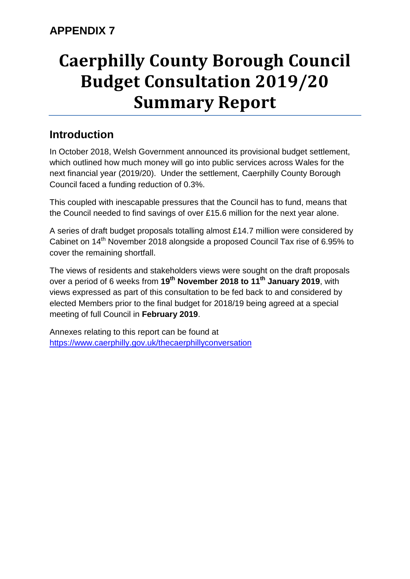# **Caerphilly County Borough Council Budget Consultation 2019/20 Summary Report**

# **Introduction**

In October 2018, Welsh Government announced its provisional budget settlement, which outlined how much money will go into public services across Wales for the next financial year (2019/20). Under the settlement, Caerphilly County Borough Council faced a funding reduction of 0.3%.

This coupled with inescapable pressures that the Council has to fund, means that the Council needed to find savings of over £15.6 million for the next year alone.

A series of draft budget proposals totalling almost £14.7 million were considered by Cabinet on 14th November 2018 alongside a proposed Council Tax rise of 6.95% to cover the remaining shortfall.

The views of residents and stakeholders views were sought on the draft proposals over a period of 6 weeks from **19th November 2018 to 11th January 2019**, with views expressed as part of this consultation to be fed back to and considered by elected Members prior to the final budget for 2018/19 being agreed at a special meeting of full Council in **February 2019**.

Annexes relating to this report can be found at <https://www.caerphilly.gov.uk/thecaerphillyconversation>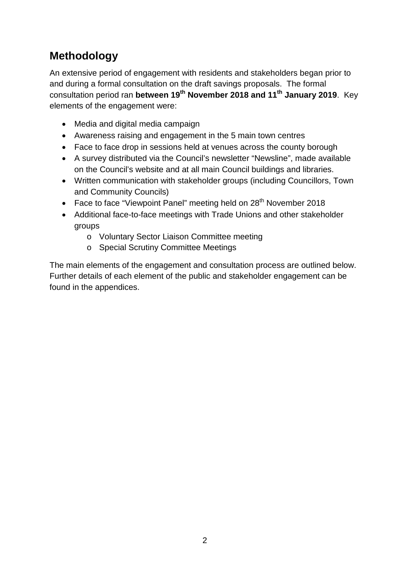# **Methodology**

An extensive period of engagement with residents and stakeholders began prior to and during a formal consultation on the draft savings proposals. The formal consultation period ran **between 19th November 2018 and 11th January 2019**. Key elements of the engagement were:

- Media and digital media campaign
- Awareness raising and engagement in the 5 main town centres
- Face to face drop in sessions held at venues across the county borough
- A survey distributed via the Council's newsletter "Newsline", made available on the Council's website and at all main Council buildings and libraries.
- Written communication with stakeholder groups (including Councillors, Town and Community Councils)
- Face to face "Viewpoint Panel" meeting held on  $28<sup>th</sup>$  November 2018
- Additional face-to-face meetings with Trade Unions and other stakeholder groups
	- o Voluntary Sector Liaison Committee meeting
	- o Special Scrutiny Committee Meetings

The main elements of the engagement and consultation process are outlined below. Further details of each element of the public and stakeholder engagement can be found in the appendices.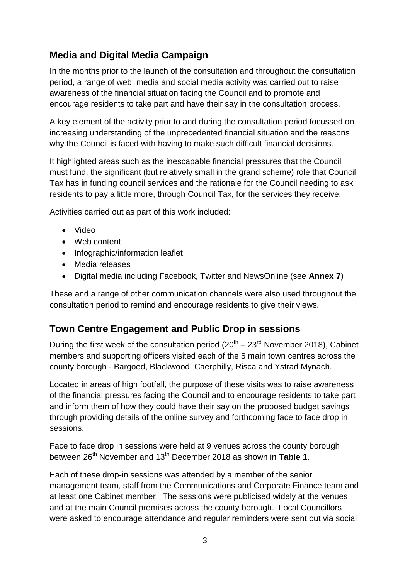## **Media and Digital Media Campaign**

In the months prior to the launch of the consultation and throughout the consultation period, a range of web, media and social media activity was carried out to raise awareness of the financial situation facing the Council and to promote and encourage residents to take part and have their say in the consultation process.

A key element of the activity prior to and during the consultation period focussed on increasing understanding of the unprecedented financial situation and the reasons why the Council is faced with having to make such difficult financial decisions.

It highlighted areas such as the inescapable financial pressures that the Council must fund, the significant (but relatively small in the grand scheme) role that Council Tax has in funding council services and the rationale for the Council needing to ask residents to pay a little more, through Council Tax, for the services they receive.

Activities carried out as part of this work included:

- Video
- Web content
- Infographic/information leaflet
- Media releases
- Digital media including Facebook, Twitter and NewsOnline (see **Annex 7**)

These and a range of other communication channels were also used throughout the consultation period to remind and encourage residents to give their views.

#### **Town Centre Engagement and Public Drop in sessions**

During the first week of the consultation period  $(20^{th} – 23^{rd}$  November 2018), Cabinet members and supporting officers visited each of the 5 main town centres across the county borough - Bargoed, Blackwood, Caerphilly, Risca and Ystrad Mynach.

Located in areas of high footfall, the purpose of these visits was to raise awareness of the financial pressures facing the Council and to encourage residents to take part and inform them of how they could have their say on the proposed budget savings through providing details of the online survey and forthcoming face to face drop in sessions.

Face to face drop in sessions were held at 9 venues across the county borough between 26th November and 13th December 2018 as shown in **Table 1**.

Each of these drop-in sessions was attended by a member of the senior management team, staff from the Communications and Corporate Finance team and at least one Cabinet member. The sessions were publicised widely at the venues and at the main Council premises across the county borough. Local Councillors were asked to encourage attendance and regular reminders were sent out via social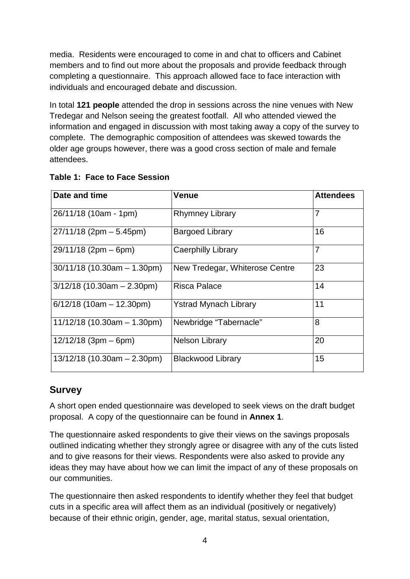media. Residents were encouraged to come in and chat to officers and Cabinet members and to find out more about the proposals and provide feedback through completing a questionnaire. This approach allowed face to face interaction with individuals and encouraged debate and discussion.

In total **121 people** attended the drop in sessions across the nine venues with New Tredegar and Nelson seeing the greatest footfall. All who attended viewed the information and engaged in discussion with most taking away a copy of the survey to complete. The demographic composition of attendees was skewed towards the older age groups however, there was a good cross section of male and female attendees.

| Date and time                 | Venue                          |                |  |
|-------------------------------|--------------------------------|----------------|--|
| 26/11/18 (10am - 1pm)         | <b>Rhymney Library</b>         | $\overline{7}$ |  |
| $27/11/18$ (2pm $-5.45$ pm)   | <b>Bargoed Library</b>         | 16             |  |
| $29/11/18$ (2pm – 6pm)        | <b>Caerphilly Library</b>      | $\overline{7}$ |  |
| $30/11/18$ (10.30am - 1.30pm) | New Tredegar, Whiterose Centre | 23             |  |
| $3/12/18$ (10.30am - 2.30pm)  | <b>Risca Palace</b>            | 14             |  |
| $6/12/18$ (10am - 12.30pm)    | <b>Ystrad Mynach Library</b>   | 11             |  |
| $11/12/18$ (10.30am - 1.30pm) | Newbridge "Tabernacle"         | 8              |  |
| $12/12/18$ (3pm – 6pm)        | <b>Nelson Library</b>          | 20             |  |
| $13/12/18$ (10.30am - 2.30pm) | 15<br><b>Blackwood Library</b> |                |  |

| <b>Table 1: Face to Face Session</b> |  |  |
|--------------------------------------|--|--|
|                                      |  |  |

## **Survey**

A short open ended questionnaire was developed to seek views on the draft budget proposal. A copy of the questionnaire can be found in **Annex 1**.

The questionnaire asked respondents to give their views on the savings proposals outlined indicating whether they strongly agree or disagree with any of the cuts listed and to give reasons for their views. Respondents were also asked to provide any ideas they may have about how we can limit the impact of any of these proposals on our communities.

The questionnaire then asked respondents to identify whether they feel that budget cuts in a specific area will affect them as an individual (positively or negatively) because of their ethnic origin, gender, age, marital status, sexual orientation,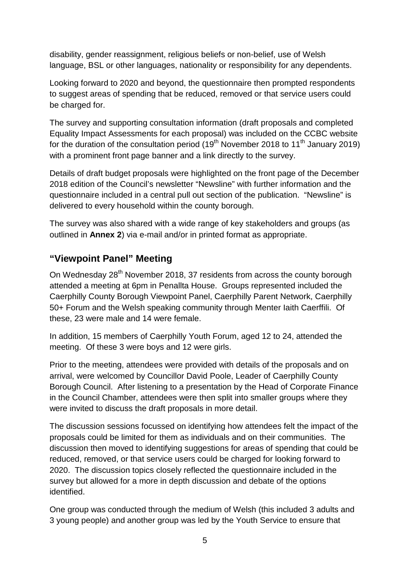disability, gender reassignment, religious beliefs or non-belief, use of Welsh language, BSL or other languages, nationality or responsibility for any dependents.

Looking forward to 2020 and beyond, the questionnaire then prompted respondents to suggest areas of spending that be reduced, removed or that service users could be charged for.

The survey and supporting consultation information (draft proposals and completed Equality Impact Assessments for each proposal) was included on the CCBC website for the duration of the consultation period  $(19<sup>th</sup>$  November 2018 to 11<sup>th</sup> January 2019) with a prominent front page banner and a link directly to the survey.

Details of draft budget proposals were highlighted on the front page of the December 2018 edition of the Council's newsletter "Newsline" with further information and the questionnaire included in a central pull out section of the publication. "Newsline" is delivered to every household within the county borough.

The survey was also shared with a wide range of key stakeholders and groups (as outlined in **Annex 2**) via e-mail and/or in printed format as appropriate.

### **"Viewpoint Panel" Meeting**

On Wednesday 28<sup>th</sup> November 2018, 37 residents from across the county borough attended a meeting at 6pm in Penallta House. Groups represented included the Caerphilly County Borough Viewpoint Panel, Caerphilly Parent Network, Caerphilly 50+ Forum and the Welsh speaking community through Menter Iaith Caerffili. Of these, 23 were male and 14 were female.

In addition, 15 members of Caerphilly Youth Forum, aged 12 to 24, attended the meeting. Of these 3 were boys and 12 were girls.

Prior to the meeting, attendees were provided with details of the proposals and on arrival, were welcomed by Councillor David Poole, Leader of Caerphilly County Borough Council. After listening to a presentation by the Head of Corporate Finance in the Council Chamber, attendees were then split into smaller groups where they were invited to discuss the draft proposals in more detail.

The discussion sessions focussed on identifying how attendees felt the impact of the proposals could be limited for them as individuals and on their communities. The discussion then moved to identifying suggestions for areas of spending that could be reduced, removed, or that service users could be charged for looking forward to 2020. The discussion topics closely reflected the questionnaire included in the survey but allowed for a more in depth discussion and debate of the options identified.

One group was conducted through the medium of Welsh (this included 3 adults and 3 young people) and another group was led by the Youth Service to ensure that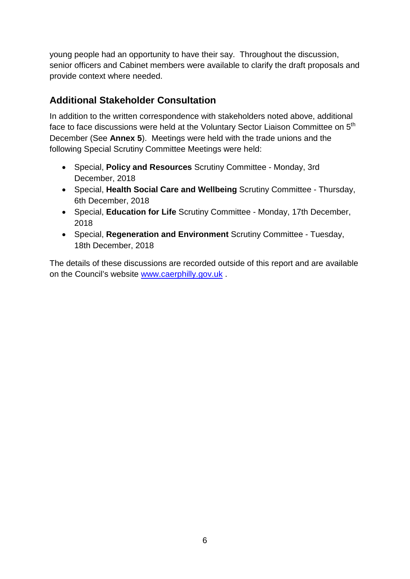young people had an opportunity to have their say. Throughout the discussion, senior officers and Cabinet members were available to clarify the draft proposals and provide context where needed.

## **Additional Stakeholder Consultation**

In addition to the written correspondence with stakeholders noted above, additional face to face discussions were held at the Voluntary Sector Liaison Committee on 5<sup>th</sup> December (See **Annex 5**). Meetings were held with the trade unions and the following Special Scrutiny Committee Meetings were held:

- Special, **Policy and Resources** Scrutiny Committee Monday, 3rd December, 2018
- Special, **Health Social Care and Wellbeing** Scrutiny Committee Thursday, 6th December, 2018
- Special, **Education for Life** Scrutiny Committee Monday, 17th December, 2018
- Special, **Regeneration and Environment** Scrutiny Committee Tuesday, 18th December, 2018

The details of these discussions are recorded outside of this report and are available on the Council's website [www.caerphilly.gov.uk](http://www.caerphilly.gov.uk/) .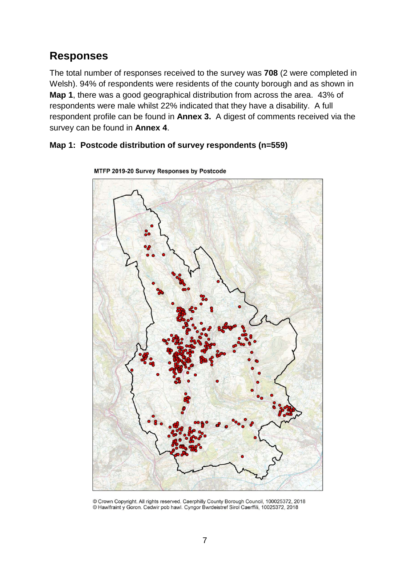## **Responses**

The total number of responses received to the survey was **708** (2 were completed in Welsh). 94% of respondents were residents of the county borough and as shown in **Map 1**, there was a good geographical distribution from across the area. 43% of respondents were male whilst 22% indicated that they have a disability. A full respondent profile can be found in **Annex 3.** A digest of comments received via the survey can be found in **Annex 4**.

#### **Map 1: Postcode distribution of survey respondents (n=559)**



MTFP 2019-20 Survey Responses by Postcode

<sup>©</sup> Crown Copyright. All rights reserved. Caerphilly County Borough Council, 100025372, 2018 @ Hawlfraint y Goron. Cedwir pob hawl. Cyngor Bwrdeistref Sirol Caerffili, 10025372, 2018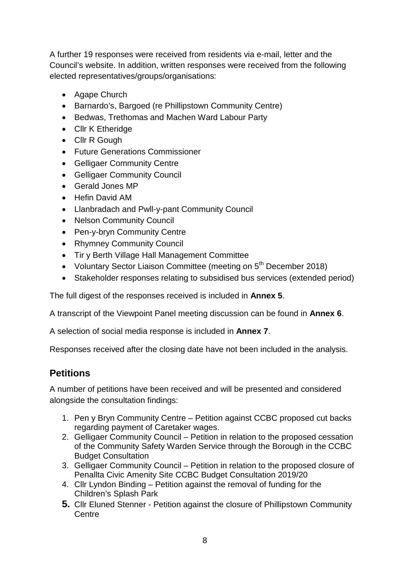A further 19 responses were received from residents via e-mail, letter and the Council's website. In addition, written responses were received from the following elected representatives/groups/organisations:

- Agape Church
- Barnardo's, Bargoed (re Phillipstown Community Centre)
- Bedwas, Trethomas and Machen Ward Labour Party
- Cllr K Etheridge
- Cllr R Gough
- Future Generations Commissioner
- Gelligaer Community Centre
- Gelligaer Community Council
- Gerald Jones MP
- Hefin David AM
- Llanbradach and Pwll-y-pant Community Council
- Nelson Community Council
- Pen-y-bryn Community Centre
- Rhymney Community Council
- Tir y Berth Village Hall Management Committee
- Voluntary Sector Liaison Committee (meeting on 5<sup>th</sup> December 2018)
- Stakeholder responses relating to subsidised bus services (extended period)

The full digest of the responses received is included in **Annex 5**.

A transcript of the Viewpoint Panel meeting discussion can be found in **Annex 6**.

A selection of social media response is included in **Annex 7**.

Responses received after the closing date have not been included in the analysis.

## **Petitions**

A number of petitions have been received and will be presented and considered alongside the consultation findings:

- 1. Pen y Bryn Community Centre Petition against CCBC proposed cut backs regarding payment of Caretaker wages.
- 2. Gelligaer Community Council Petition in relation to the proposed cessation of the Community Safety Warden Service through the Borough in the CCBC Budget Consultation
- 3. Gelligaer Community Council Petition in relation to the proposed closure of Penallta Civic Amenity Site CCBC Budget Consultation 2019/20
- 4. Cllr Lyndon Binding Petition against the removal of funding for the Children's Splash Park
- **5.** Cllr Eluned Stenner Petition against the closure of Phillipstown Community **Centre**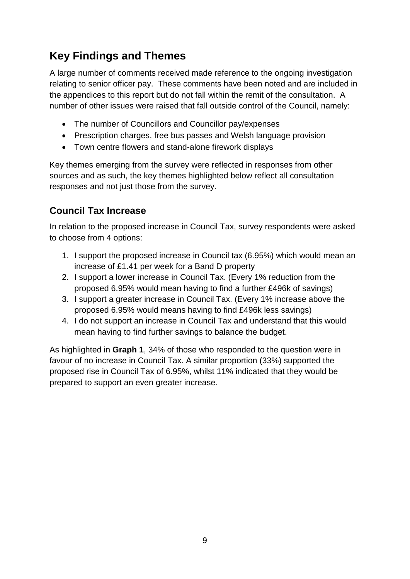# **Key Findings and Themes**

A large number of comments received made reference to the ongoing investigation relating to senior officer pay. These comments have been noted and are included in the appendices to this report but do not fall within the remit of the consultation. A number of other issues were raised that fall outside control of the Council, namely:

- The number of Councillors and Councillor pay/expenses
- Prescription charges, free bus passes and Welsh language provision
- Town centre flowers and stand-alone firework displays

Key themes emerging from the survey were reflected in responses from other sources and as such, the key themes highlighted below reflect all consultation responses and not just those from the survey.

## **Council Tax Increase**

In relation to the proposed increase in Council Tax, survey respondents were asked to choose from 4 options:

- 1. I support the proposed increase in Council tax (6.95%) which would mean an increase of £1.41 per week for a Band D property
- 2. I support a lower increase in Council Tax. (Every 1% reduction from the proposed 6.95% would mean having to find a further £496k of savings)
- 3. I support a greater increase in Council Tax. (Every 1% increase above the proposed 6.95% would means having to find £496k less savings)
- 4. I do not support an increase in Council Tax and understand that this would mean having to find further savings to balance the budget.

As highlighted in **Graph 1**, 34% of those who responded to the question were in favour of no increase in Council Tax. A similar proportion (33%) supported the proposed rise in Council Tax of 6.95%, whilst 11% indicated that they would be prepared to support an even greater increase.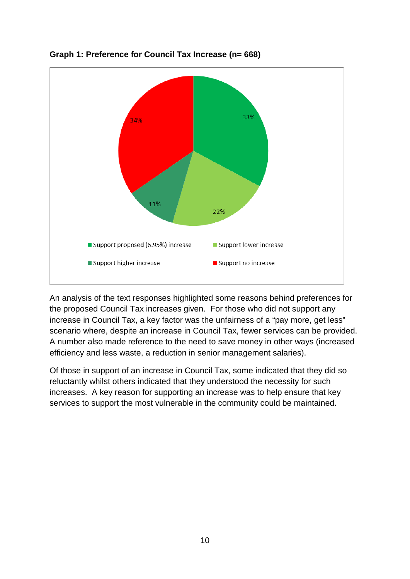

**Graph 1: Preference for Council Tax Increase (n= 668)**

An analysis of the text responses highlighted some reasons behind preferences for the proposed Council Tax increases given. For those who did not support any increase in Council Tax, a key factor was the unfairness of a "pay more, get less" scenario where, despite an increase in Council Tax, fewer services can be provided. A number also made reference to the need to save money in other ways (increased efficiency and less waste, a reduction in senior management salaries).

Of those in support of an increase in Council Tax, some indicated that they did so reluctantly whilst others indicated that they understood the necessity for such increases. A key reason for supporting an increase was to help ensure that key services to support the most vulnerable in the community could be maintained.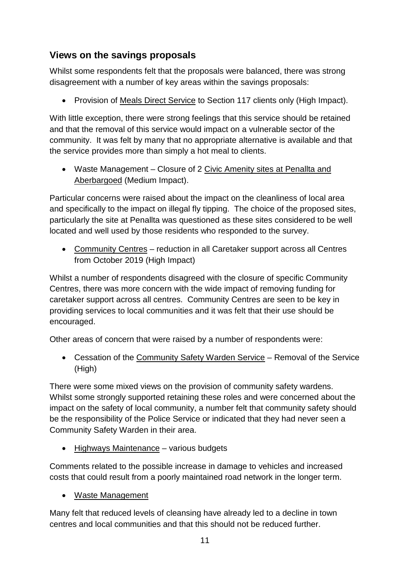## **Views on the savings proposals**

Whilst some respondents felt that the proposals were balanced, there was strong disagreement with a number of key areas within the savings proposals:

• Provision of Meals Direct Service to Section 117 clients only (High Impact).

With little exception, there were strong feelings that this service should be retained and that the removal of this service would impact on a vulnerable sector of the community. It was felt by many that no appropriate alternative is available and that the service provides more than simply a hot meal to clients.

• Waste Management – Closure of 2 Civic Amenity sites at Penallta and Aberbargoed (Medium Impact).

Particular concerns were raised about the impact on the cleanliness of local area and specifically to the impact on illegal fly tipping. The choice of the proposed sites, particularly the site at Penallta was questioned as these sites considered to be well located and well used by those residents who responded to the survey.

• Community Centres – reduction in all Caretaker support across all Centres from October 2019 (High Impact)

Whilst a number of respondents disagreed with the closure of specific Community Centres, there was more concern with the wide impact of removing funding for caretaker support across all centres. Community Centres are seen to be key in providing services to local communities and it was felt that their use should be encouraged.

Other areas of concern that were raised by a number of respondents were:

• Cessation of the Community Safety Warden Service – Removal of the Service (High)

There were some mixed views on the provision of community safety wardens. Whilst some strongly supported retaining these roles and were concerned about the impact on the safety of local community, a number felt that community safety should be the responsibility of the Police Service or indicated that they had never seen a Community Safety Warden in their area.

• Highways Maintenance – various budgets

Comments related to the possible increase in damage to vehicles and increased costs that could result from a poorly maintained road network in the longer term.

• Waste Management

Many felt that reduced levels of cleansing have already led to a decline in town centres and local communities and that this should not be reduced further.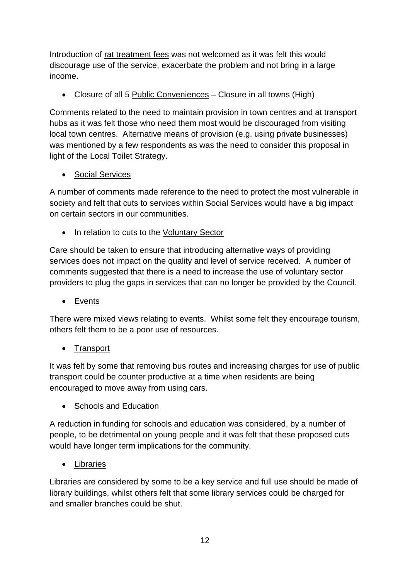Introduction of rat treatment fees was not welcomed as it was felt this would discourage use of the service, exacerbate the problem and not bring in a large income.

• Closure of all 5 Public Conveniences – Closure in all towns (High)

Comments related to the need to maintain provision in town centres and at transport hubs as it was felt those who need them most would be discouraged from visiting local town centres. Alternative means of provision (e.g. using private businesses) was mentioned by a few respondents as was the need to consider this proposal in light of the Local Toilet Strategy.

• Social Services

A number of comments made reference to the need to protect the most vulnerable in society and felt that cuts to services within Social Services would have a big impact on certain sectors in our communities.

• In relation to cuts to the Voluntary Sector

Care should be taken to ensure that introducing alternative ways of providing services does not impact on the quality and level of service received. A number of comments suggested that there is a need to increase the use of voluntary sector providers to plug the gaps in services that can no longer be provided by the Council.

• Events

There were mixed views relating to events. Whilst some felt they encourage tourism, others felt them to be a poor use of resources.

• Transport

It was felt by some that removing bus routes and increasing charges for use of public transport could be counter productive at a time when residents are being encouraged to move away from using cars.

• Schools and Education

A reduction in funding for schools and education was considered, by a number of people, to be detrimental on young people and it was felt that these proposed cuts would have longer term implications for the community.

• Libraries

Libraries are considered by some to be a key service and full use should be made of library buildings, whilst others felt that some library services could be charged for and smaller branches could be shut.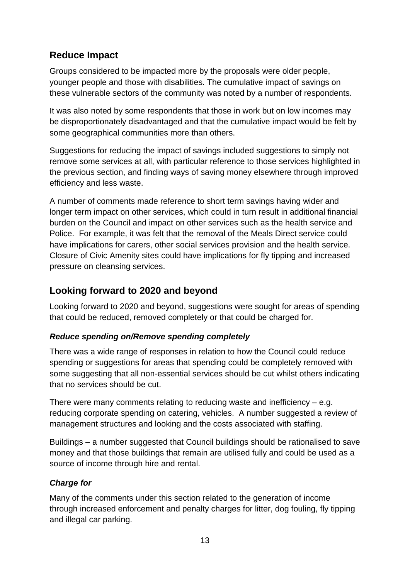## **Reduce Impact**

Groups considered to be impacted more by the proposals were older people, younger people and those with disabilities. The cumulative impact of savings on these vulnerable sectors of the community was noted by a number of respondents.

It was also noted by some respondents that those in work but on low incomes may be disproportionately disadvantaged and that the cumulative impact would be felt by some geographical communities more than others.

Suggestions for reducing the impact of savings included suggestions to simply not remove some services at all, with particular reference to those services highlighted in the previous section, and finding ways of saving money elsewhere through improved efficiency and less waste.

A number of comments made reference to short term savings having wider and longer term impact on other services, which could in turn result in additional financial burden on the Council and impact on other services such as the health service and Police. For example, it was felt that the removal of the Meals Direct service could have implications for carers, other social services provision and the health service. Closure of Civic Amenity sites could have implications for fly tipping and increased pressure on cleansing services.

## **Looking forward to 2020 and beyond**

Looking forward to 2020 and beyond, suggestions were sought for areas of spending that could be reduced, removed completely or that could be charged for.

#### *Reduce spending on/Remove spending completely*

There was a wide range of responses in relation to how the Council could reduce spending or suggestions for areas that spending could be completely removed with some suggesting that all non-essential services should be cut whilst others indicating that no services should be cut.

There were many comments relating to reducing waste and inefficiency – e.g. reducing corporate spending on catering, vehicles. A number suggested a review of management structures and looking and the costs associated with staffing.

Buildings – a number suggested that Council buildings should be rationalised to save money and that those buildings that remain are utilised fully and could be used as a source of income through hire and rental.

#### *Charge for*

Many of the comments under this section related to the generation of income through increased enforcement and penalty charges for litter, dog fouling, fly tipping and illegal car parking.